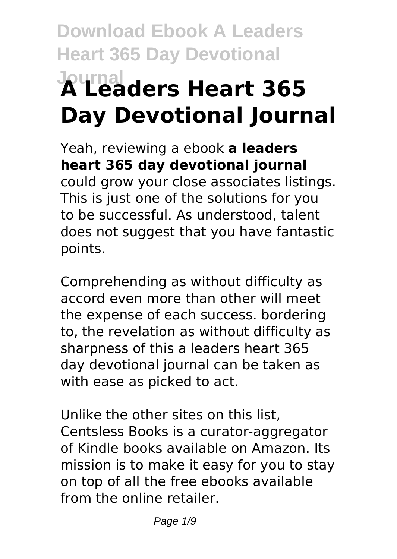# **Download Ebook A Leaders Heart 365 Day Devotional Journal A Leaders Heart 365 Day Devotional Journal**

Yeah, reviewing a ebook **a leaders heart 365 day devotional journal** could grow your close associates listings. This is just one of the solutions for you to be successful. As understood, talent does not suggest that you have fantastic points.

Comprehending as without difficulty as accord even more than other will meet the expense of each success. bordering to, the revelation as without difficulty as sharpness of this a leaders heart 365 day devotional journal can be taken as with ease as picked to act.

Unlike the other sites on this list, Centsless Books is a curator-aggregator of Kindle books available on Amazon. Its mission is to make it easy for you to stay on top of all the free ebooks available from the online retailer.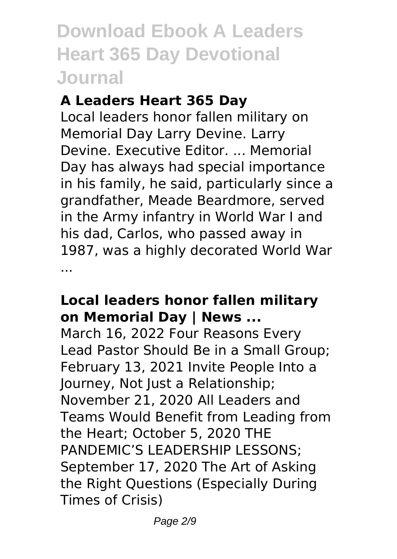### **A Leaders Heart 365 Day**

Local leaders honor fallen military on Memorial Day Larry Devine. Larry Devine. Executive Editor. ... Memorial Day has always had special importance in his family, he said, particularly since a grandfather, Meade Beardmore, served in the Army infantry in World War I and his dad, Carlos, who passed away in 1987, was a highly decorated World War ...

#### **Local leaders honor fallen military on Memorial Day | News ...**

March 16, 2022 Four Reasons Every Lead Pastor Should Be in a Small Group; February 13, 2021 Invite People Into a Journey, Not Just a Relationship; November 21, 2020 All Leaders and Teams Would Benefit from Leading from the Heart; October 5, 2020 THE PANDEMIC'S LEADERSHIP LESSONS; September 17, 2020 The Art of Asking the Right Questions (Especially During Times of Crisis)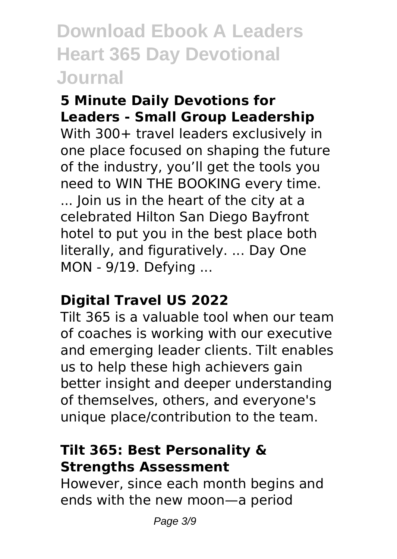#### **5 Minute Daily Devotions for Leaders - Small Group Leadership**

With 300+ travel leaders exclusively in one place focused on shaping the future of the industry, you'll get the tools you need to WIN THE BOOKING every time. ... Join us in the heart of the city at a celebrated Hilton San Diego Bayfront hotel to put you in the best place both literally, and figuratively. ... Day One MON - 9/19. Defying ...

### **Digital Travel US 2022**

Tilt 365 is a valuable tool when our team of coaches is working with our executive and emerging leader clients. Tilt enables us to help these high achievers gain better insight and deeper understanding of themselves, others, and everyone's unique place/contribution to the team.

### **Tilt 365: Best Personality & Strengths Assessment**

However, since each month begins and ends with the new moon—a period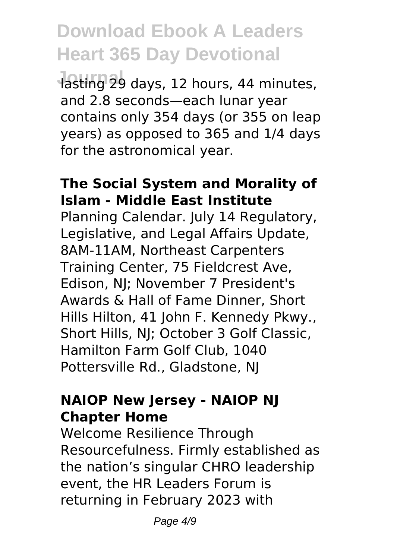lasting 29 days, 12 hours, 44 minutes, and 2.8 seconds—each lunar year contains only 354 days (or 355 on leap years) as opposed to 365 and 1/4 days for the astronomical year.

#### **The Social System and Morality of Islam - Middle East Institute**

Planning Calendar. July 14 Regulatory, Legislative, and Legal Affairs Update, 8AM-11AM, Northeast Carpenters Training Center, 75 Fieldcrest Ave, Edison, NJ; November 7 President's Awards & Hall of Fame Dinner, Short Hills Hilton, 41 John F. Kennedy Pkwy., Short Hills, NJ; October 3 Golf Classic, Hamilton Farm Golf Club, 1040 Pottersville Rd., Gladstone, NJ

#### **NAIOP New Jersey - NAIOP NJ Chapter Home**

Welcome Resilience Through Resourcefulness. Firmly established as the nation's singular CHRO leadership event, the HR Leaders Forum is returning in February 2023 with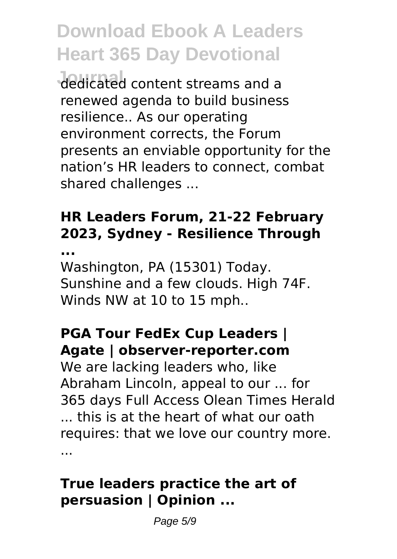**Journal** dedicated content streams and a renewed agenda to build business resilience.. As our operating environment corrects, the Forum presents an enviable opportunity for the nation's HR leaders to connect, combat shared challenges ...

## **HR Leaders Forum, 21-22 February 2023, Sydney - Resilience Through**

**...**

Washington, PA (15301) Today. Sunshine and a few clouds. High 74F. Winds NW at 10 to 15 mph..

### **PGA Tour FedEx Cup Leaders | Agate | observer-reporter.com**

We are lacking leaders who, like Abraham Lincoln, appeal to our ... for 365 days Full Access Olean Times Herald ... this is at the heart of what our oath requires: that we love our country more. ...

### **True leaders practice the art of persuasion | Opinion ...**

Page 5/9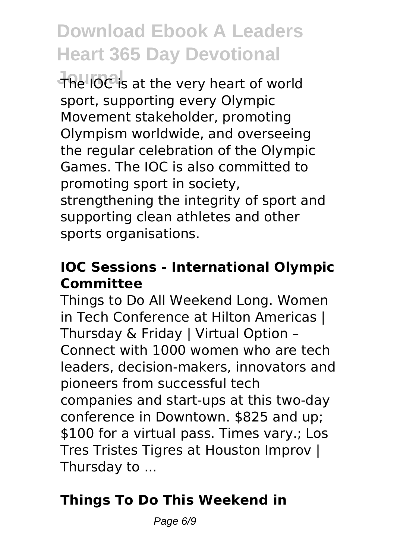The IOC is at the very heart of world sport, supporting every Olympic Movement stakeholder, promoting Olympism worldwide, and overseeing the regular celebration of the Olympic Games. The IOC is also committed to promoting sport in society, strengthening the integrity of sport and supporting clean athletes and other sports organisations.

### **IOC Sessions - International Olympic Committee**

Things to Do All Weekend Long. Women in Tech Conference at Hilton Americas | Thursday & Friday | Virtual Option – Connect with 1000 women who are tech leaders, decision-makers, innovators and pioneers from successful tech companies and start-ups at this two-day conference in Downtown. \$825 and up; \$100 for a virtual pass. Times vary.; Los Tres Tristes Tigres at Houston Improv | Thursday to ...

## **Things To Do This Weekend in**

Page 6/9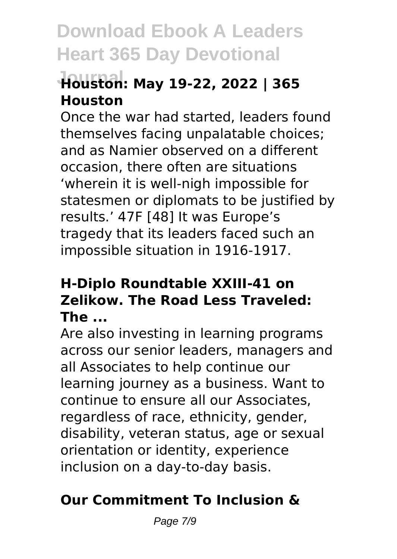## **Journal Houston: May 19-22, 2022 | 365 Houston**

Once the war had started, leaders found themselves facing unpalatable choices; and as Namier observed on a different occasion, there often are situations 'wherein it is well-nigh impossible for statesmen or diplomats to be justified by results.' 47F [48] It was Europe's tragedy that its leaders faced such an impossible situation in 1916-1917.

### **H-Diplo Roundtable XXIII-41 on Zelikow. The Road Less Traveled: The ...**

Are also investing in learning programs across our senior leaders, managers and all Associates to help continue our learning journey as a business. Want to continue to ensure all our Associates, regardless of race, ethnicity, gender, disability, veteran status, age or sexual orientation or identity, experience inclusion on a day-to-day basis.

## **Our Commitment To Inclusion &**

Page 7/9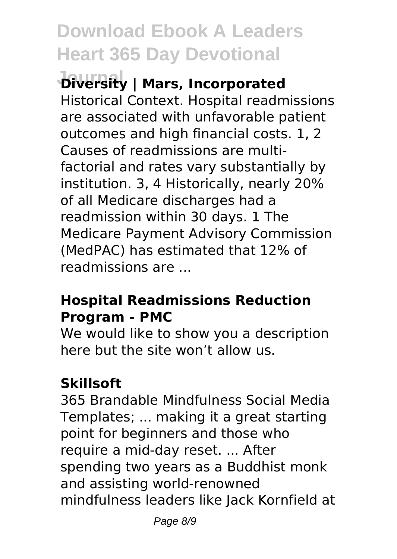**Diversity | Mars, Incorporated** Historical Context. Hospital readmissions are associated with unfavorable patient outcomes and high financial costs. 1, 2 Causes of readmissions are multifactorial and rates vary substantially by institution. 3, 4 Historically, nearly 20% of all Medicare discharges had a readmission within 30 days. 1 The Medicare Payment Advisory Commission (MedPAC) has estimated that 12% of readmissions are ...

### **Hospital Readmissions Reduction Program - PMC**

We would like to show you a description here but the site won't allow us.

## **Skillsoft**

365 Brandable Mindfulness Social Media Templates; ... making it a great starting point for beginners and those who require a mid-day reset. ... After spending two years as a Buddhist monk and assisting world-renowned mindfulness leaders like Jack Kornfield at